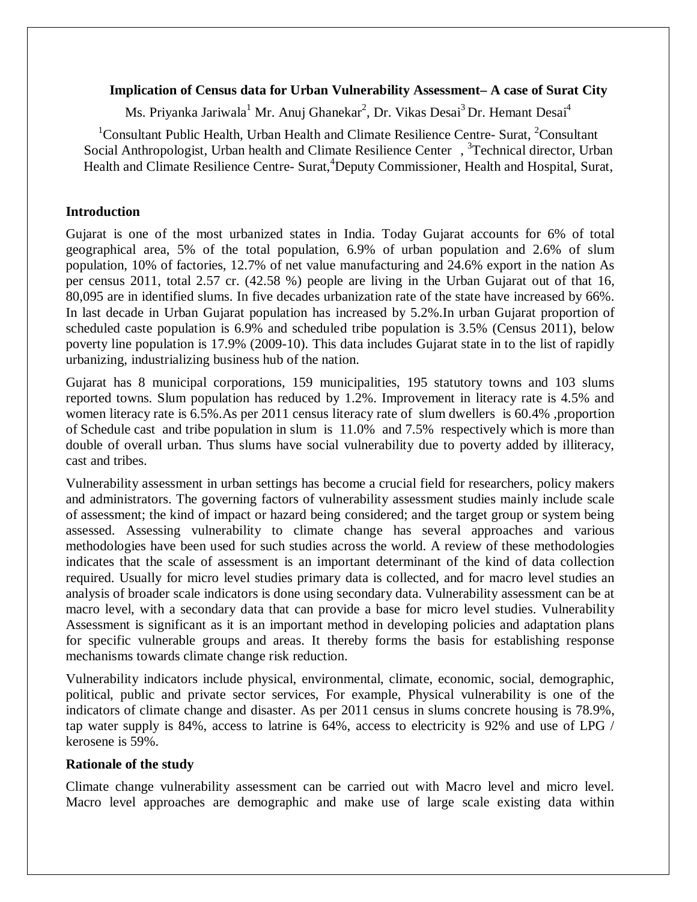#### **Implication of Census data for Urban Vulnerability Assessment– A case of Surat City**

Ms. Priyanka Jariwala<sup>1</sup> Mr. Anuj Ghanekar<sup>2</sup>, Dr. Vikas Desai<sup>3</sup> Dr. Hemant Desai<sup>4</sup>

<sup>1</sup>Consultant Public Health, Urban Health and Climate Resilience Centre- Surat, <sup>2</sup>Consultant Social Anthropologist, Urban health and Climate Resilience Center, <sup>3</sup> Technical director, Urban Health and Climate Resilience Centre- Surat, <sup>4</sup>Deputy Commissioner, Health and Hospital, Surat,

#### **Introduction**

Gujarat is one of the most urbanized states in India. Today Gujarat accounts for 6% of total geographical area, 5% of the total population, 6.9% of urban population and 2.6% of slum population, 10% of factories, 12.7% of net value manufacturing and 24.6% export in the nation As per census 2011, total 2.57 cr. (42.58 %) people are living in the Urban Gujarat out of that 16, 80,095 are in identified slums. In five decades urbanization rate of the state have increased by 66%. In last decade in Urban Gujarat population has increased by 5.2%.In urban Gujarat proportion of scheduled caste population is 6.9% and scheduled tribe population is 3.5% (Census 2011), below poverty line population is 17.9% (2009-10). This data includes Gujarat state in to the list of rapidly urbanizing, industrializing business hub of the nation.

Gujarat has 8 municipal corporations, 159 municipalities, 195 statutory towns and 103 slums reported towns. Slum population has reduced by 1.2%. Improvement in literacy rate is 4.5% and women literacy rate is 6.5%.As per 2011 census literacy rate of slum dwellers is 60.4% ,proportion of Schedule cast and tribe population in slum is 11.0% and 7.5% respectively which is more than double of overall urban. Thus slums have social vulnerability due to poverty added by illiteracy, cast and tribes.

Vulnerability assessment in urban settings has become a crucial field for researchers, policy makers and administrators. The governing factors of vulnerability assessment studies mainly include scale of assessment; the kind of impact or hazard being considered; and the target group or system being assessed. Assessing vulnerability to climate change has several approaches and various methodologies have been used for such studies across the world. A review of these methodologies indicates that the scale of assessment is an important determinant of the kind of data collection required. Usually for micro level studies primary data is collected, and for macro level studies an analysis of broader scale indicators is done using secondary data. Vulnerability assessment can be at macro level, with a secondary data that can provide a base for micro level studies. Vulnerability Assessment is significant as it is an important method in developing policies and adaptation plans for specific vulnerable groups and areas. It thereby forms the basis for establishing response mechanisms towards climate change risk reduction.

Vulnerability indicators include physical, environmental, climate, economic, social, demographic, political, public and private sector services, For example, Physical vulnerability is one of the indicators of climate change and disaster. As per 2011 census in slums concrete housing is 78.9%, tap water supply is 84%, access to latrine is 64%, access to electricity is 92% and use of LPG / kerosene is 59%.

### **Rationale of the study**

Climate change vulnerability assessment can be carried out with Macro level and micro level. Macro level approaches are demographic and make use of large scale existing data within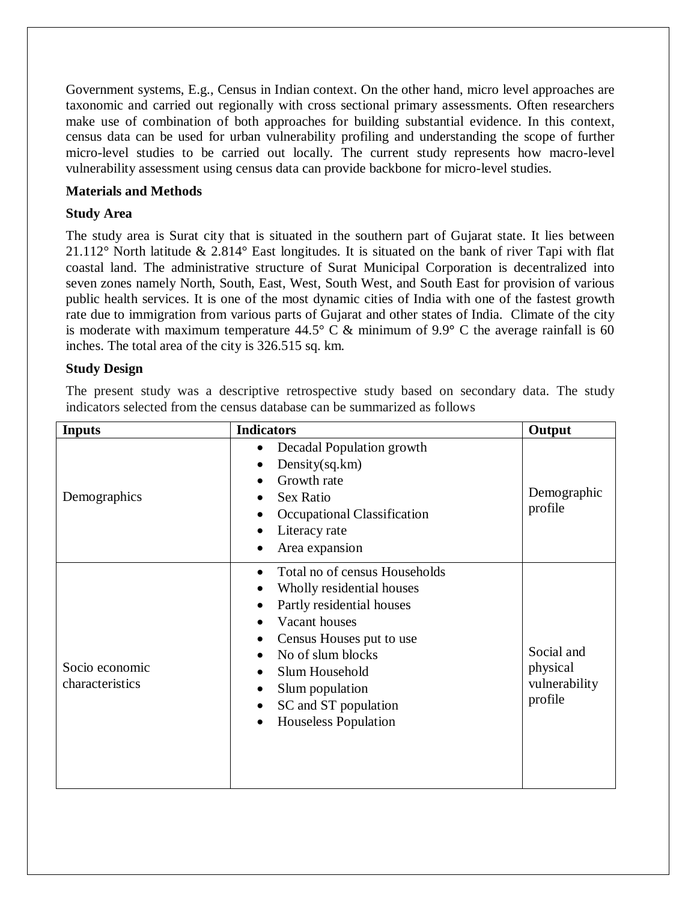Government systems, E.g., Census in Indian context. On the other hand, micro level approaches are taxonomic and carried out regionally with cross sectional primary assessments. Often researchers make use of combination of both approaches for building substantial evidence. In this context, census data can be used for urban vulnerability profiling and understanding the scope of further micro-level studies to be carried out locally. The current study represents how macro-level vulnerability assessment using census data can provide backbone for micro-level studies.

## **Materials and Methods**

## **Study Area**

The study area is Surat city that is situated in the southern part of Gujarat state. It lies between 21.112° North latitude & 2.814° East longitudes. It is situated on the bank of river Tapi with flat coastal land. The administrative structure of Surat Municipal Corporation is decentralized into seven zones namely North, South, East, West, South West, and South East for provision of various public health services. It is one of the most dynamic cities of India with one of the fastest growth rate due to immigration from various parts of Gujarat and other states of India. Climate of the city is moderate with maximum temperature 44.5° C & minimum of 9.9**°** C the average rainfall is 60 inches. The total area of the city is 326.515 sq. km.

## **Study Design**

The present study was a descriptive retrospective study based on secondary data. The study indicators selected from the census database can be summarized as follows

| <b>Inputs</b>                     | <b>Indicators</b>                                                                                                                                                                                                                                                                                                      | Output                                             |
|-----------------------------------|------------------------------------------------------------------------------------------------------------------------------------------------------------------------------------------------------------------------------------------------------------------------------------------------------------------------|----------------------------------------------------|
| Demographics                      | Decadal Population growth<br>$\bullet$<br>Density(sq.km)<br>Growth rate<br><b>Sex Ratio</b><br>$\bullet$<br>Occupational Classification<br>Literacy rate<br>Area expansion                                                                                                                                             | Demographic<br>profile                             |
| Socio economic<br>characteristics | Total no of census Households<br>$\bullet$<br>Wholly residential houses<br>Partly residential houses<br>$\bullet$<br>Vacant houses<br>Census Houses put to use<br>No of slum blocks<br>$\bullet$<br>Slum Household<br>$\bullet$<br>Slum population<br>SC and ST population<br>$\bullet$<br><b>Houseless Population</b> | Social and<br>physical<br>vulnerability<br>profile |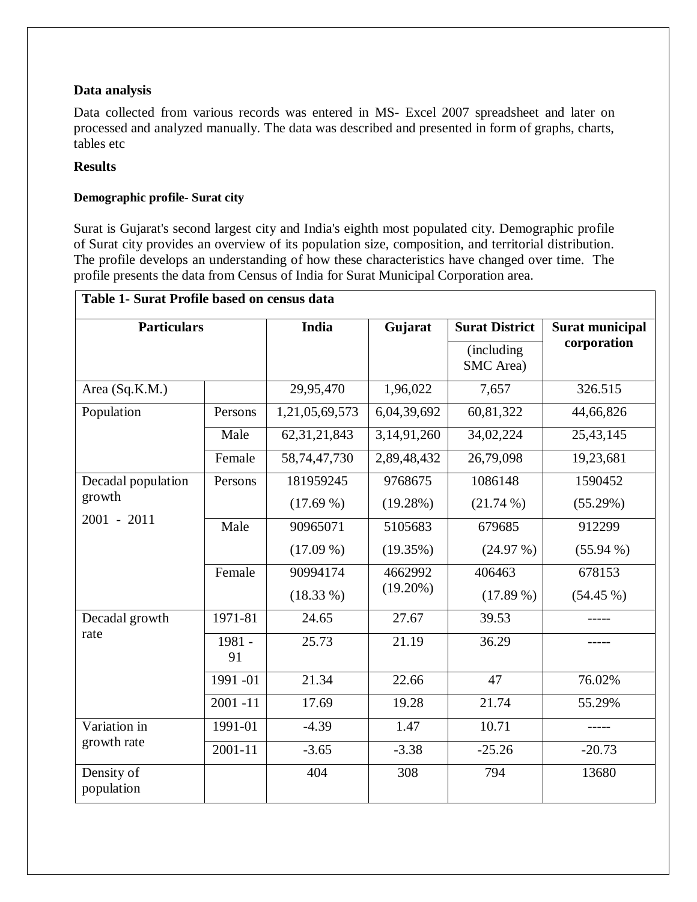## **Data analysis**

Data collected from various records was entered in MS- Excel 2007 spreadsheet and later on processed and analyzed manually. The data was described and presented in form of graphs, charts, tables etc

## **Results**

## **Demographic profile- Surat city**

Surat is Gujarat's second largest city and India's eighth most populated city. Demographic profile of Surat city provides an overview of its population size, composition, and territorial distribution. The profile develops an understanding of how these characteristics have changed over time. The profile presents the data from Census of India for Surat Municipal Corporation area.

| <b>Particulars</b>                            |              | <b>India</b>    | Gujarat     | <b>Surat District</b>   | <b>Surat municipal</b> |
|-----------------------------------------------|--------------|-----------------|-------------|-------------------------|------------------------|
|                                               |              |                 |             | (including<br>SMC Area) | corporation            |
| Area (Sq.K.M.)                                |              | 29,95,470       | 1,96,022    | 7,657                   | 326.515                |
| Population                                    | Persons      | 1,21,05,69,573  | 6,04,39,692 | 60,81,322               | 44,66,826              |
|                                               | Male         | 62, 31, 21, 843 | 3,14,91,260 | 34,02,224               | 25,43,145              |
|                                               | Female       | 58,74,47,730    | 2,89,48,432 | 26,79,098               | 19,23,681              |
| Decadal population<br>growth<br>$2001 - 2011$ | Persons      | 181959245       | 9768675     | 1086148                 | 1590452                |
|                                               |              | $(17.69\%)$     | (19.28%)    | $(21.74\%)$             | (55.29%)               |
|                                               | Male         | 90965071        | 5105683     | 679685                  | 912299                 |
|                                               |              | $(17.09\%)$     | (19.35%)    | $(24.97\%)$             | $(55.94\%)$            |
|                                               | Female       | 90994174        | 4662992     | 406463                  | 678153                 |
|                                               |              | $(18.33\%)$     | $(19.20\%)$ | $(17.89\%)$             | $(54.45\%)$            |
| Decadal growth<br>rate                        | 1971-81      | 24.65           | 27.67       | 39.53                   |                        |
|                                               | 1981 -<br>91 | 25.73           | 21.19       | 36.29                   |                        |
|                                               | 1991-01      | 21.34           | 22.66       | 47                      | 76.02%                 |
|                                               | $2001 - 11$  | 17.69           | 19.28       | 21.74                   | 55.29%                 |
| Variation in<br>growth rate                   | 1991-01      | $-4.39$         | 1.47        | 10.71                   |                        |
|                                               | $2001 - 11$  | $-3.65$         | $-3.38$     | $-25.26$                | $-20.73$               |
| Density of<br>population                      |              | 404             | 308         | 794                     | 13680                  |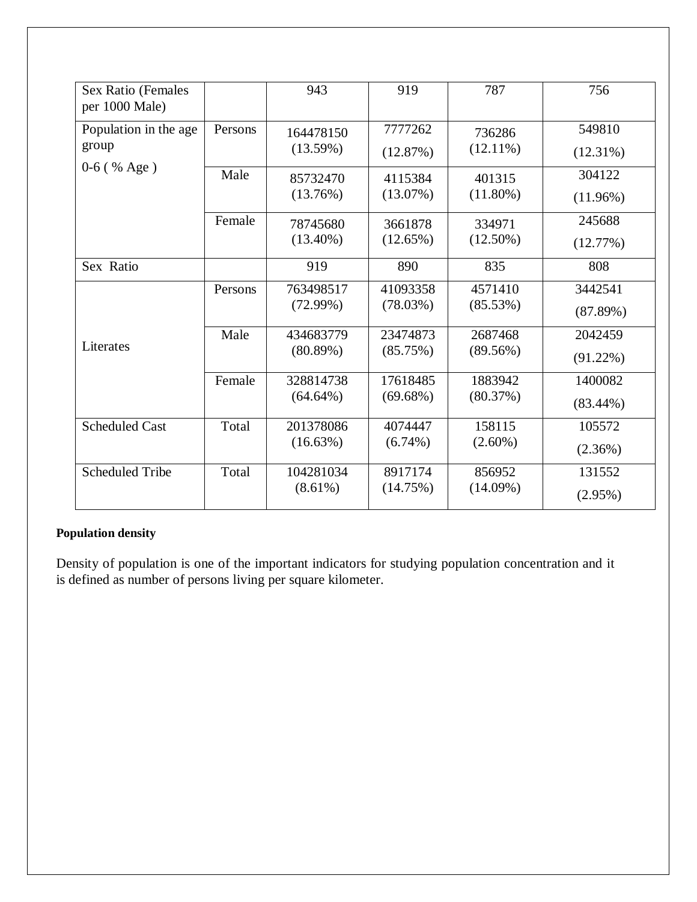| Sex Ratio (Females<br>per 1000 Male) |         | 943         | 919         | 787         | 756         |
|--------------------------------------|---------|-------------|-------------|-------------|-------------|
| Population in the age                | Persons | 164478150   | 7777262     | 736286      | 549810      |
| group<br>$0-6$ (% Age)               |         | (13.59%)    | (12.87%)    | $(12.11\%)$ | $(12.31\%)$ |
|                                      | Male    | 85732470    | 4115384     | 401315      | 304122      |
|                                      |         | (13.76%)    | (13.07%)    | $(11.80\%)$ | $(11.96\%)$ |
|                                      | Female  | 78745680    | 3661878     | 334971      | 245688      |
|                                      |         | $(13.40\%)$ | $(12.65\%)$ | $(12.50\%)$ | (12.77%)    |
| Sex Ratio                            |         | 919         | 890         | 835         | 808         |
|                                      | Persons | 763498517   | 41093358    | 4571410     | 3442541     |
|                                      |         | (72.99%)    | (78.03%)    | (85.53%)    | (87.89%)    |
| Literates                            | Male    | 434683779   | 23474873    | 2687468     | 2042459     |
|                                      |         | (80.89%)    | (85.75%)    | (89.56%)    | $(91.22\%)$ |
|                                      | Female  | 328814738   | 17618485    | 1883942     | 1400082     |
|                                      |         | $(64.64\%)$ | (69.68%)    | (80.37%)    | $(83.44\%)$ |
| <b>Scheduled Cast</b>                | Total   | 201378086   | 4074447     | 158115      | 105572      |
|                                      |         | (16.63%)    | $(6.74\%)$  | $(2.60\%)$  | $(2.36\%)$  |
| <b>Scheduled Tribe</b>               | Total   | 104281034   | 8917174     | 856952      | 131552      |
|                                      |         | $(8.61\%)$  | (14.75%)    | $(14.09\%)$ | $(2.95\%)$  |

# **Population density**

Density of population is one of the important indicators for studying population concentration and it is defined as number of persons living per square kilometer.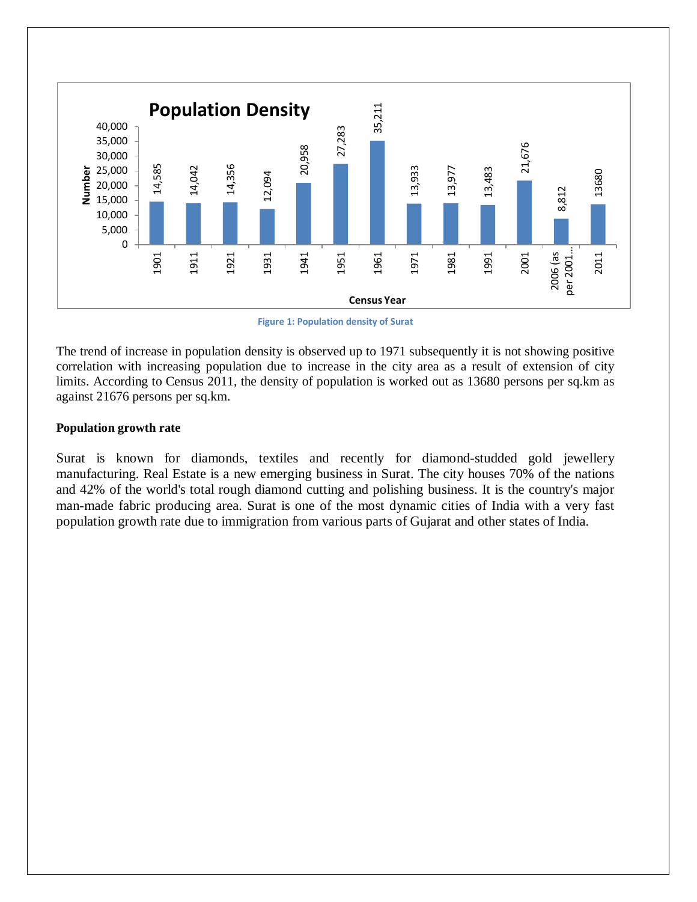

**Figure 1: Population density of Surat**

The trend of increase in population density is observed up to 1971 subsequently it is not showing positive correlation with increasing population due to increase in the city area as a result of extension of city limits. According to Census 2011, the density of population is worked out as 13680 persons per sq.km as against 21676 persons per sq.km.

#### **Population growth rate**

Surat is known for diamonds, textiles and recently for diamond-studded gold jewellery manufacturing. Real Estate is a new emerging business in Surat. The city houses 70% of the nations and 42% of the world's total rough diamond cutting and polishing business. It is the country's major man-made fabric producing area. Surat is one of the most dynamic cities of India with a very fast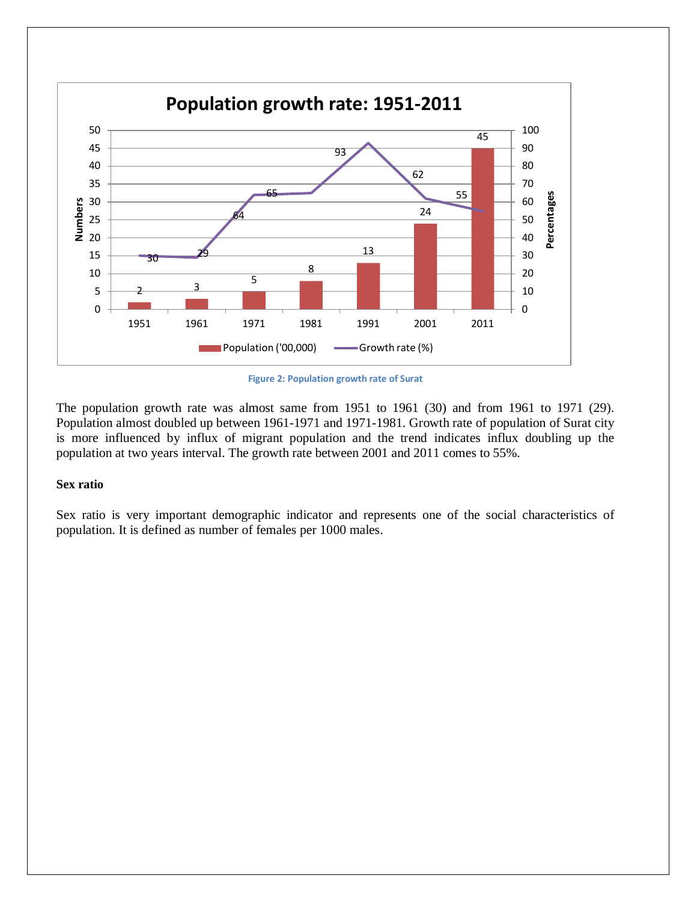

**Figure 2: Population growth rate of Surat**

The population growth rate was almost same from 1951 to 1961 (30) and from 1961 to 1971 (29). Population almost doubled up between 1961-1971 and 1971-1981. Growth rate of population of Surat city is more influenced by influx of migrant population and the trend indicates influx doubling up the population at two years interval. The growth rate between 2001 and 2011 comes to 55%.

#### **Sex ratio**

Sex ratio is very important demographic indicator and represents one of the social characteristics of population. It is defined as number of females per 1000 males.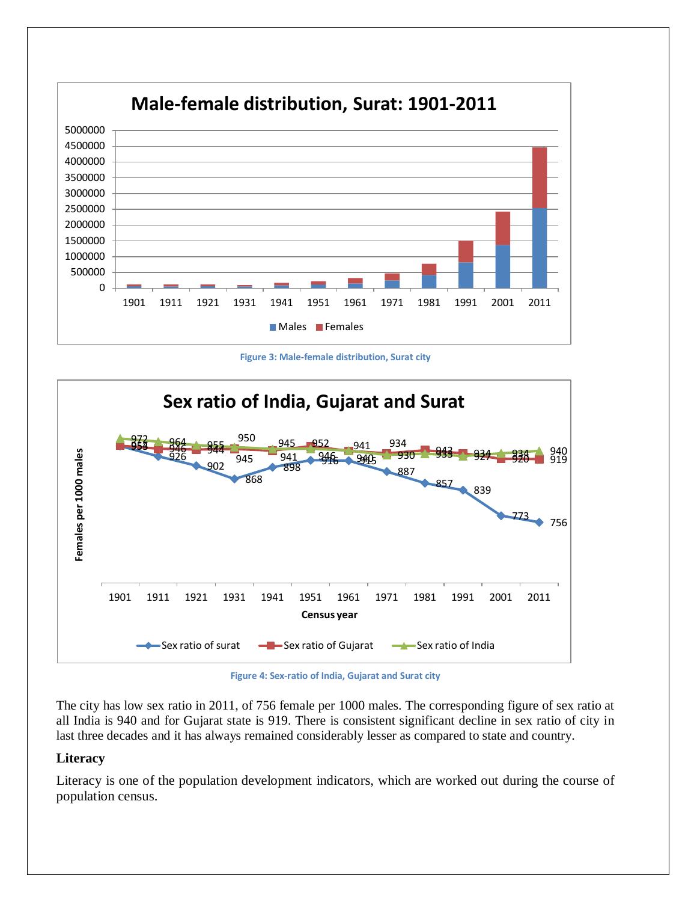





**Figure 4: Sex-ratio of India, Gujarat and Surat city**

The city has low sex ratio in 2011, of 756 female per 1000 males. The corresponding figure of sex ratio at all India is 940 and for Gujarat state is 919. There is consistent significant decline in sex ratio of city in last three decades and it has always remained considerably lesser as compared to state and country.

### **Literacy**

Literacy is one of the population development indicators, which are worked out during the course of population census.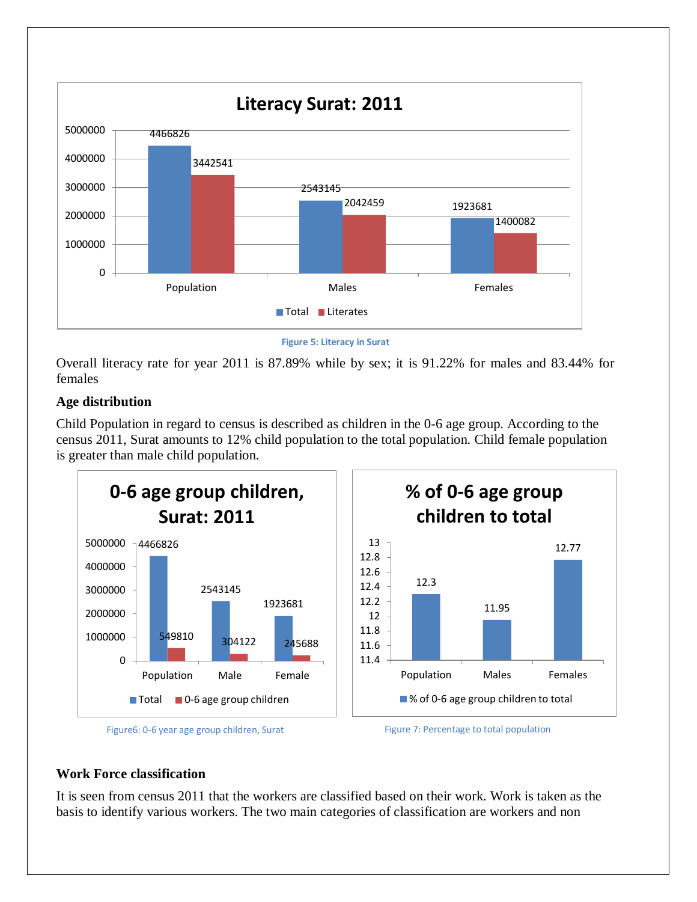

**Figure 5: Literacy in Surat**

Overall literacy rate for year 2011 is 87.89% while by sex; it is 91.22% for males and 83.44% for females

# **Age distribution**

Child Population in regard to census is described as children in the 0-6 age group. According to the census 2011, Surat amounts to 12% child population to the total population. Child female population is greater than male child population.



Figure6: 0-6 year age group children, Surat Figure 7: Percentage to total population

# **Work Force classification**

It is seen from census 2011 that the workers are classified based on their work. Work is taken as the basis to identify various workers. The two main categories of classification are workers and non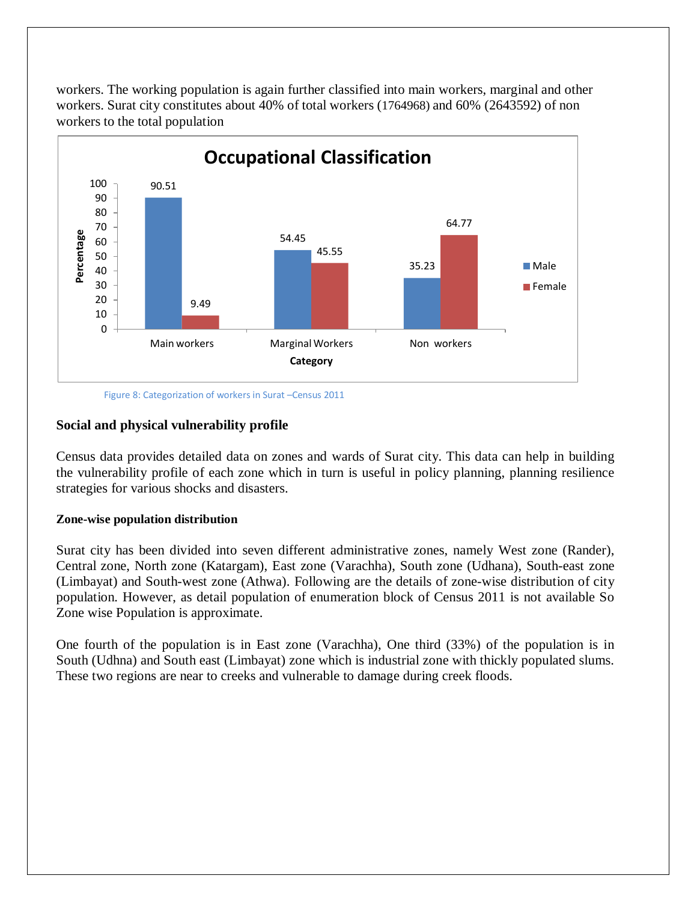workers. The working population is again further classified into main workers, marginal and other workers. Surat city constitutes about 40% of total workers (1764968) and 60% (2643592) of non workers to the total population



Figure 8: Categorization of workers in Surat –Census 2011

#### **Social and physical vulnerability profile**

Census data provides detailed data on zones and wards of Surat city. This data can help in building the vulnerability profile of each zone which in turn is useful in policy planning, planning resilience strategies for various shocks and disasters.

#### **Zone-wise population distribution**

Surat city has been divided into seven different administrative zones, namely West zone (Rander), Central zone, North zone (Katargam), East zone (Varachha), South zone (Udhana), South-east zone (Limbayat) and South-west zone (Athwa). Following are the details of zone-wise distribution of city population. However, as detail population of enumeration block of Census 2011 is not available So Zone wise Population is approximate.

One fourth of the population is in East zone (Varachha), One third (33%) of the population is in South (Udhna) and South east (Limbayat) zone which is industrial zone with thickly populated slums. These two regions are near to creeks and vulnerable to damage during creek floods.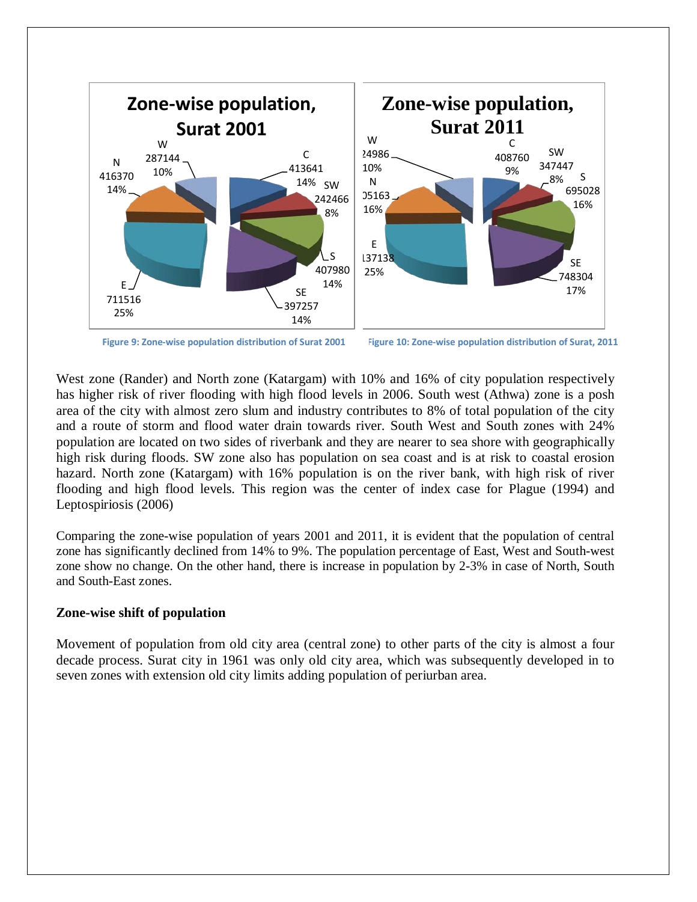



West zone (Rander) and North zone (Katargam) with 10% and 16% of city population respectively has higher risk of river flooding with high flood levels in 2006. South west (Athwa) zone is a posh area of the city with almost zero slum and industry contributes to 8% of total population of the city and a route of storm and flood water drain towards river. South West and South zones with 24% population are located on two sides of riverbank and they are nearer to sea shore with geographically high risk during floods. SW zone also has population on sea coast and is at risk to coastal erosion hazard. North zone (Katargam) with 16% population is on the river bank, with high risk of river flooding and high flood levels. This region was the center of index case for Plague (1994) and Leptospiriosis (2006)

Comparing the zone-wise population of years 2001 and 2011, it is evident that the population of central zone has significantly declined from 14% to 9%. The population percentage of East, West and South-west zone show no change. On the other hand, there is increase in population by 2-3% in case of North, South and South-East zones.

### **Zone-wise shift of population**

Movement of population from old city area (central zone) to other parts of the city is almost a four decade process. Surat city in 1961 was only old city area, which was subsequently developed in to seven zones with extension old city limits adding population of periurban area.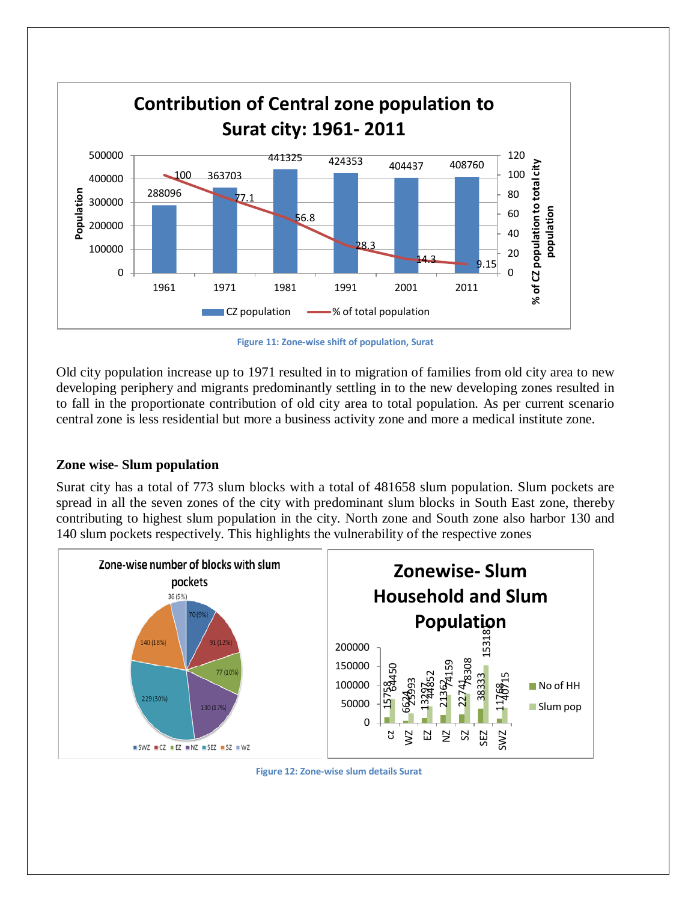

**Figure 11: Zone-wise shift of population, Surat**

Old city population increase up to 1971 resulted in to migration of families from old city area to new developing periphery and migrants predominantly settling in to the new developing zones resulted in to fall in the proportionate contribution of old city area to total population. As per current scenario central zone is less residential but more a business activity zone and more a medical institute zone.

# **Zone wise- Slum population**

Surat city has a total of 773 slum blocks with a total of 481658 slum population. Slum pockets are spread in all the seven zones of the city with predominant slum blocks in South East zone, thereby contributing to highest slum population in the city. North zone and South zone also harbor 130 and 140 slum pockets respectively. This highlights the vulnerability of the respective zones



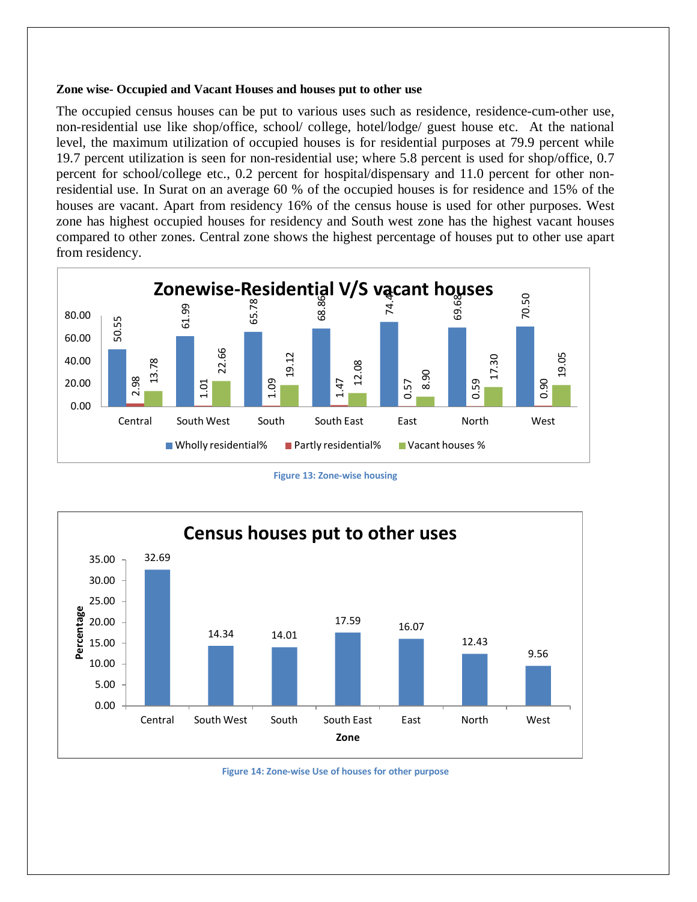#### **Zone wise- Occupied and Vacant Houses and houses put to other use**

The occupied census houses can be put to various uses such as residence, residence-cum-other use, non-residential use like shop/office, school/ college, hotel/lodge/ guest house etc. At the national level, the maximum utilization of occupied houses is for residential purposes at 79.9 percent while 19.7 percent utilization is seen for non-residential use; where 5.8 percent is used for shop/office, 0.7 percent for school/college etc., 0.2 percent for hospital/dispensary and 11.0 percent for other nonresidential use. In Surat on an average 60 % of the occupied houses is for residence and 15% of the houses are vacant. Apart from residency 16% of the census house is used for other purposes. West zone has highest occupied houses for residency and South west zone has the highest vacant houses compared to other zones. Central zone shows the highest percentage of houses put to other use apart from residency.



**Figure 13: Zone-wise housing**



**Figure 14: Zone-wise Use of houses for other purpose**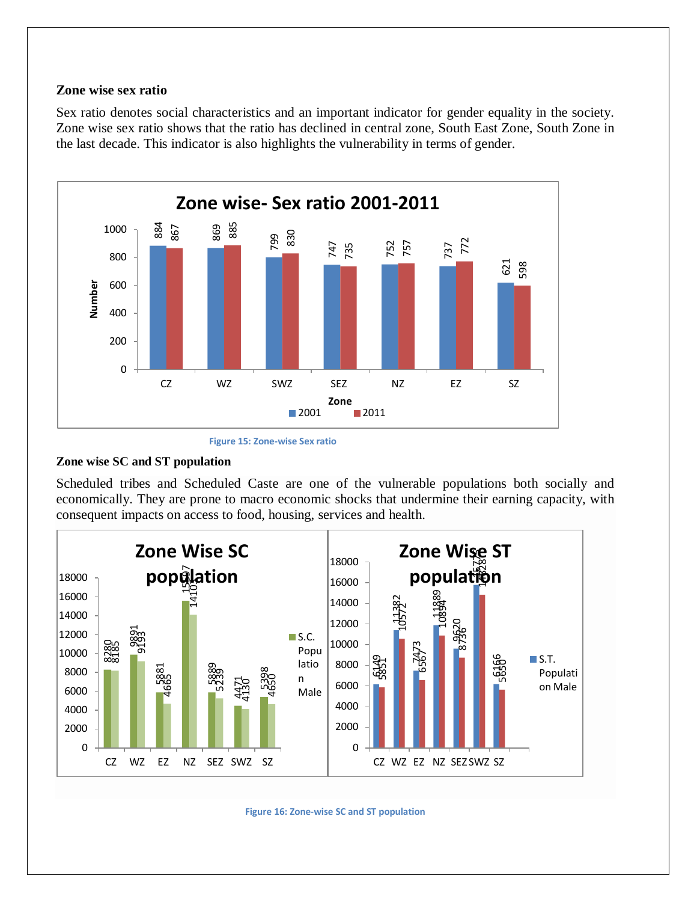### **Zone wise sex ratio**

Sex ratio denotes social characteristics and an important indicator for gender equality in the society. Zone wise sex ratio shows that the ratio has declined in central zone, South East Zone, South Zone in the last decade. This indicator is also highlights the vulnerability in terms of gender.



**Figure 15: Zone-wise Sex ratio**

#### **Zone wise SC and ST population**

Scheduled tribes and Scheduled Caste are one of the vulnerable populations both socially and economically. They are prone to macro economic shocks that undermine their earning capacity, with consequent impacts on access to food, housing, services and health.



**Figure 16: Zone-wise SC and ST population**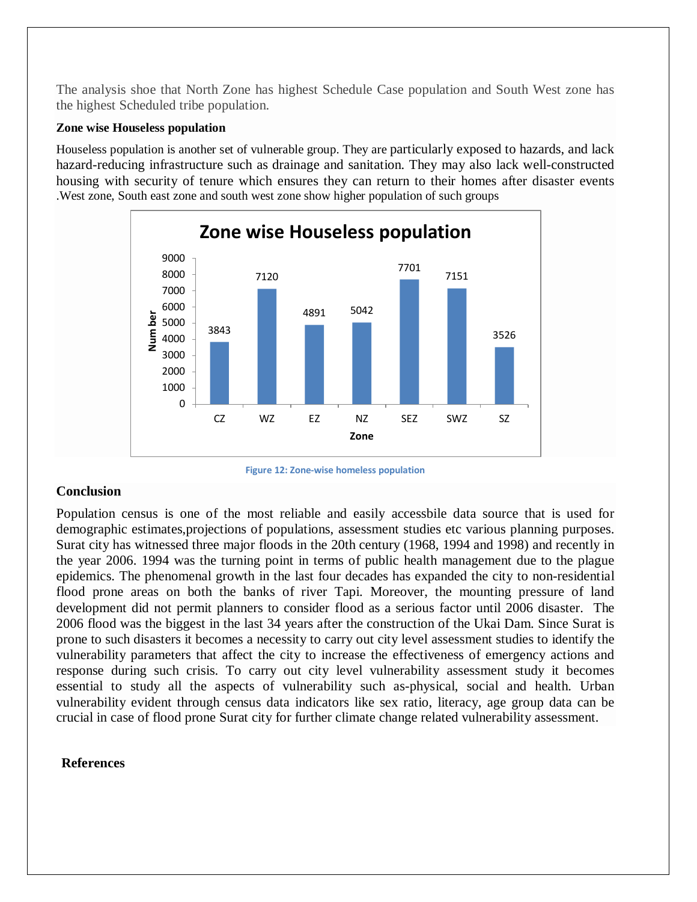The analysis shoe that North Zone has highest Schedule Case population and South West zone has the highest Scheduled tribe population.

#### **Zone wise Houseless population**

Houseless population is another set of vulnerable group. They are particularly exposed to hazards, and lack hazard-reducing infrastructure such as drainage and sanitation. They may also lack well-constructed housing with security of tenure which ensures they can return to their homes after disaster events .West zone, South east zone and south west zone show higher population of such groups



**Figure 12: Zone-wise homeless population**

# **Conclusion**

Population census is one of the most reliable and easily accessbile data source that is used for demographic estimates,projections of populations, assessment studies etc various planning purposes. Surat city has witnessed three major floods in the 20th century (1968, 1994 and 1998) and recently in the year 2006. 1994 was the turning point in terms of public health management due to the plague epidemics. The phenomenal growth in the last four decades has expanded the city to non-residential flood prone areas on both the banks of river Tapi. Moreover, the mounting pressure of land development did not permit planners to consider flood as a serious factor until 2006 disaster. The 2006 flood was the biggest in the last 34 years after the construction of the Ukai Dam. Since Surat is prone to such disasters it becomes a necessity to carry out city level assessment studies to identify the vulnerability parameters that affect the city to increase the effectiveness of emergency actions and response during such crisis. To carry out city level vulnerability assessment study it becomes essential to study all the aspects of vulnerability such as-physical, social and health. Urban vulnerability evident through census data indicators like sex ratio, literacy, age group data can be crucial in case of flood prone Surat city for further climate change related vulnerability assessment.

### **References**